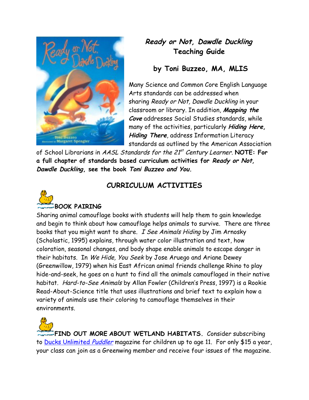

## **Ready or Not, Dawdle Duckling Teaching Guide**

## **by Toni Buzzeo, MA, MLIS**

Many Science and Common Core English Language Arts standards can be addressed when sharing Ready or Not, Dawdle Duckling in your classroom or library. In addition, **Mapping the Cove** addresses Social Studies standards, while many of the activities, particularly **Hiding Here, Hiding There**, address Information Literacy standards as outlined by the American Association

of School Librarians in *AASL Standards for the 21<sup>st</sup> Century Learner*. **NOTE: For a full chapter of standards based curriculum activities for Ready or Not, Dawdle Duckling, see the book Toni Buzzeo and You.**



## **CURRICULUM ACTIVITIES**

Sharing animal camouflage books with students will help them to gain knowledge and begin to think about how camouflage helps animals to survive. There are three books that you might want to share. I See Animals Hiding by Jim Arnosky (Scholastic, 1995) explains, through water color illustration and text, how coloration, seasonal changes, and body shape enable animals to escape danger in their habitats. In We Hide, You Seek by Jose Aruego and Ariane Dewey (Greenwillow, 1979) when his East African animal friends challenge Rhino to play hide-and-seek, he goes on a hunt to find all the animals camouflaged in their native habitat. Hard-to-See Animals by Allan Fowler (Children's Press, 1997) is a Rookie Read-About-Science title that uses illustrations and brief text to explain how a variety of animals use their coloring to camouflage themselves in their environments.

**FIND OUT MORE ABOUT WETLAND HABITATS.** Consider subscribing to [Ducks Unlimited](http://www.ducks.org/news-media/puddler-magazine/about-puddler-magazine) Puddler magazine for children up to age 11. For only \$15 a year, your class can join as a Greenwing member and receive four issues of the magazine.